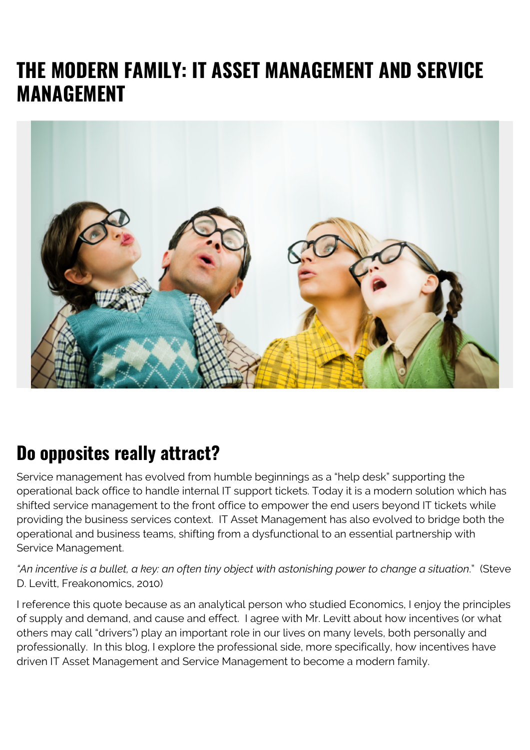# **THE MODERN FAMILY: IT ASSET MANAGEMENT AND SERVICE MANAGEMENT**



#### **Do opposites really attract?**

Service management has evolved from humble beginnings as a "help desk" supporting the operational back office to handle internal IT support tickets. Today it is a modern solution which has shifted service management to the front office to empower the end users beyond IT tickets while providing the business services context. IT Asset Management has also evolved to bridge both the operational and business teams, shifting from a dysfunctional to an essential partnership with Service Management.

*"An incentive is a bullet, a key: an often tiny object with astonishing power to change a situation*." (Steve D. Levitt, Freakonomics, 2010)

I reference this quote because as an analytical person who studied Economics, I enjoy the principles of supply and demand, and cause and effect. I agree with Mr. Levitt about how incentives (or what others may call "drivers") play an important role in our lives on many levels, both personally and professionally. In this blog, I explore the professional side, more specifically, how incentives have driven IT Asset Management and Service Management to become a modern family.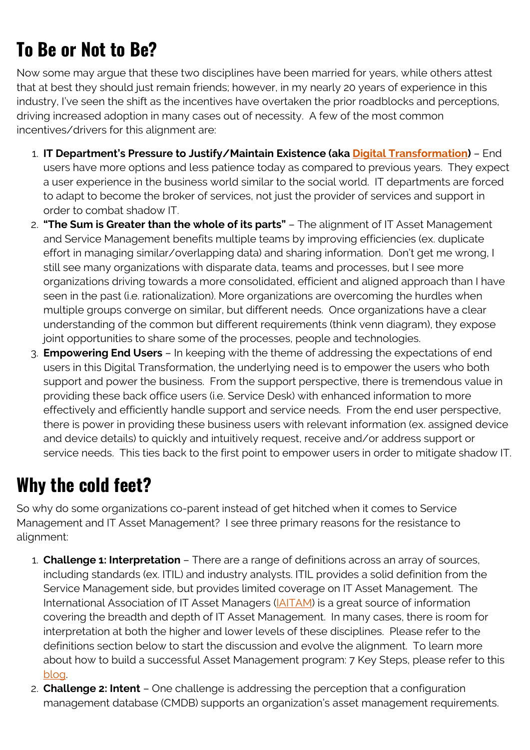# **To Be or Not to Be?**

Now some may argue that these two disciplines have been married for years, while others attest that at best they should just remain friends; however, in my nearly 20 years of experience in this industry, I've seen the shift as the incentives have overtaken the prior roadblocks and perceptions, driving increased adoption in many cases out of necessity. A few of the most common incentives/drivers for this alignment are:

- 1. **IT Department's Pressure to Justify/Maintain Existence (aka [Digital Transformation](https://blogs.bmc.com/blogs/what-is-digital-transformation/))** End users have more options and less patience today as compared to previous years. They expect a user experience in the business world similar to the social world. IT departments are forced to adapt to become the broker of services, not just the provider of services and support in order to combat shadow IT.
- 2. **"The Sum is Greater than the whole of its parts"** The alignment of IT Asset Management and Service Management benefits multiple teams by improving efficiencies (ex. duplicate effort in managing similar/overlapping data) and sharing information. Don't get me wrong, I still see many organizations with disparate data, teams and processes, but I see more organizations driving towards a more consolidated, efficient and aligned approach than I have seen in the past (i.e. rationalization). More organizations are overcoming the hurdles when multiple groups converge on similar, but different needs. Once organizations have a clear understanding of the common but different requirements (think venn diagram), they expose joint opportunities to share some of the processes, people and technologies.
- 3. **Empowering End Users** In keeping with the theme of addressing the expectations of end users in this Digital Transformation, the underlying need is to empower the users who both support and power the business. From the support perspective, there is tremendous value in providing these back office users (i.e. Service Desk) with enhanced information to more effectively and efficiently handle support and service needs. From the end user perspective, there is power in providing these business users with relevant information (ex. assigned device and device details) to quickly and intuitively request, receive and/or address support or service needs. This ties back to the first point to empower users in order to mitigate shadow IT.

#### **Why the cold feet?**

So why do some organizations co-parent instead of get hitched when it comes to Service Management and IT Asset Management? I see three primary reasons for the resistance to alignment:

- 1. **Challenge 1: Interpretation** There are a range of definitions across an array of sources, including standards (ex. ITIL) and industry analysts. ITIL provides a solid definition from the Service Management side, but provides limited coverage on IT Asset Management. The International Association of IT Asset Managers (*IAITAM*) is a great source of information covering the breadth and depth of IT Asset Management. In many cases, there is room for interpretation at both the higher and lower levels of these disciplines. Please refer to the definitions section below to start the discussion and evolve the alignment. To learn more about how to build a successful Asset Management program: 7 Key Steps, please refer to this [blog.](http://www.bmc.com/blogs/how-to-build-an-asset-management-program-7-keys-to-success/)
- 2. **Challenge 2: Intent** One challenge is addressing the perception that a configuration management database (CMDB) supports an organization's asset management requirements.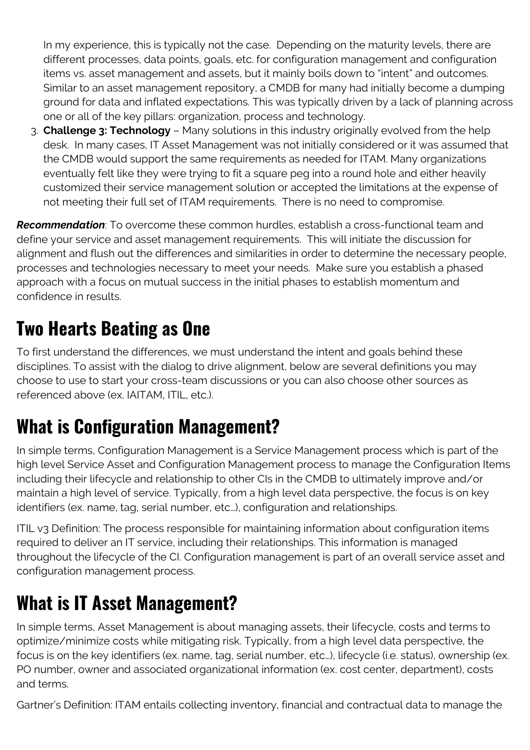In my experience, this is typically not the case. Depending on the maturity levels, there are different processes, data points, goals, etc. for configuration management and configuration items vs. asset management and assets, but it mainly boils down to "intent" and outcomes. Similar to an asset management repository, a CMDB for many had initially become a dumping ground for data and inflated expectations. This was typically driven by a lack of planning across one or all of the key pillars: organization, process and technology.

3. **Challenge 3: Technology** – Many solutions in this industry originally evolved from the help desk. In many cases, IT Asset Management was not initially considered or it was assumed that the CMDB would support the same requirements as needed for ITAM. Many organizations eventually felt like they were trying to fit a square peg into a round hole and either heavily customized their service management solution or accepted the limitations at the expense of not meeting their full set of ITAM requirements. There is no need to compromise.

*Recommendation*: To overcome these common hurdles, establish a cross-functional team and define your service and asset management requirements. This will initiate the discussion for alignment and flush out the differences and similarities in order to determine the necessary people, processes and technologies necessary to meet your needs. Make sure you establish a phased approach with a focus on mutual success in the initial phases to establish momentum and confidence in results.

# **Two Hearts Beating as One**

To first understand the differences, we must understand the intent and goals behind these disciplines. To assist with the dialog to drive alignment, below are several definitions you may choose to use to start your cross-team discussions or you can also choose other sources as referenced above (ex. IAITAM, ITIL, etc.).

### **What is Configuration Management?**

In simple terms, Configuration Management is a Service Management process which is part of the high level Service Asset and Configuration Management process to manage the Configuration Items including their lifecycle and relationship to other CIs in the CMDB to ultimately improve and/or maintain a high level of service. Typically, from a high level data perspective, the focus is on key identifiers (ex. name, tag, serial number, etc…), configuration and relationships.

ITIL v3 Definition: The process responsible for maintaining information about configuration items required to deliver an IT service, including their relationships. This information is managed throughout the lifecycle of the CI. Configuration management is part of an overall service asset and configuration management process.

#### **What is IT Asset Management?**

In simple terms, Asset Management is about managing assets, their lifecycle, costs and terms to optimize/minimize costs while mitigating risk. Typically, from a high level data perspective, the focus is on the key identifiers (ex. name, tag, serial number, etc…), lifecycle (i.e. status), ownership (ex. PO number, owner and associated organizational information (ex. cost center, department), costs and terms.

Gartner's Definition: ITAM entails collecting inventory, financial and contractual data to manage the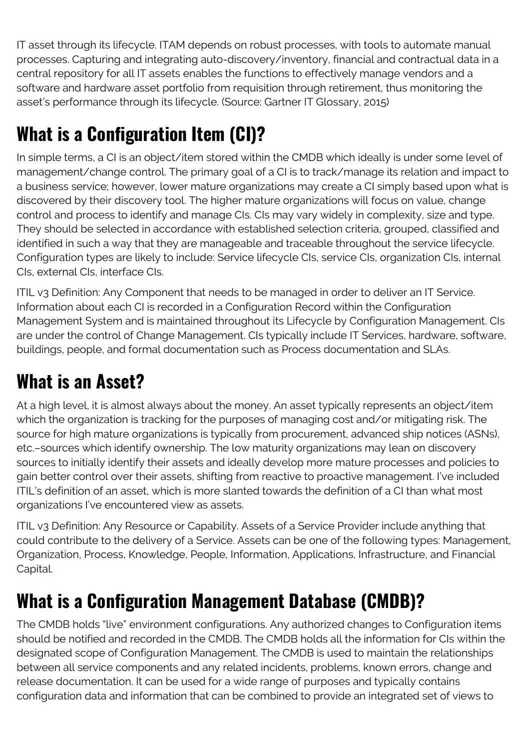IT asset through its lifecycle. ITAM depends on robust processes, with tools to automate manual processes. Capturing and integrating auto-discovery/inventory, financial and contractual data in a central repository for all IT assets enables the functions to effectively manage vendors and a software and hardware asset portfolio from requisition through retirement, thus monitoring the asset's performance through its lifecycle. (Source: Gartner IT Glossary, 2015)

# **What is a Configuration Item (CI)?**

In simple terms, a CI is an object/item stored within the CMDB which ideally is under some level of management/change control. The primary goal of a CI is to track/manage its relation and impact to a business service; however, lower mature organizations may create a CI simply based upon what is discovered by their discovery tool. The higher mature organizations will focus on value, change control and process to identify and manage CIs. CIs may vary widely in complexity, size and type. They should be selected in accordance with established selection criteria, grouped, classified and identified in such a way that they are manageable and traceable throughout the service lifecycle. Configuration types are likely to include: Service lifecycle CIs, service CIs, organization CIs, internal CIs, external CIs, interface CIs.

ITIL v3 Definition: Any Component that needs to be managed in order to deliver an IT Service. Information about each CI is recorded in a Configuration Record within the Configuration Management System and is maintained throughout its Lifecycle by Configuration Management. CIs are under the control of Change Management. CIs typically include IT Services, hardware, software, buildings, people, and formal documentation such as Process documentation and SLAs.

# **What is an Asset?**

At a high level, it is almost always about the money. An asset typically represents an object/item which the organization is tracking for the purposes of managing cost and/or mitigating risk. The source for high mature organizations is typically from procurement, advanced ship notices (ASNs), etc.–sources which identify ownership. The low maturity organizations may lean on discovery sources to initially identify their assets and ideally develop more mature processes and policies to gain better control over their assets, shifting from reactive to proactive management. I've included ITIL's definition of an asset, which is more slanted towards the definition of a CI than what most organizations I've encountered view as assets.

ITIL v3 Definition: Any Resource or Capability. Assets of a Service Provider include anything that could contribute to the delivery of a Service. Assets can be one of the following types: Management, Organization, Process, Knowledge, People, Information, Applications, Infrastructure, and Financial Capital.

# **What is a Configuration Management Database (CMDB)?**

The CMDB holds "live" environment configurations. Any authorized changes to Configuration items should be notified and recorded in the CMDB. The CMDB holds all the information for CIs within the designated scope of Configuration Management. The CMDB is used to maintain the relationships between all service components and any related incidents, problems, known errors, change and release documentation. It can be used for a wide range of purposes and typically contains configuration data and information that can be combined to provide an integrated set of views to